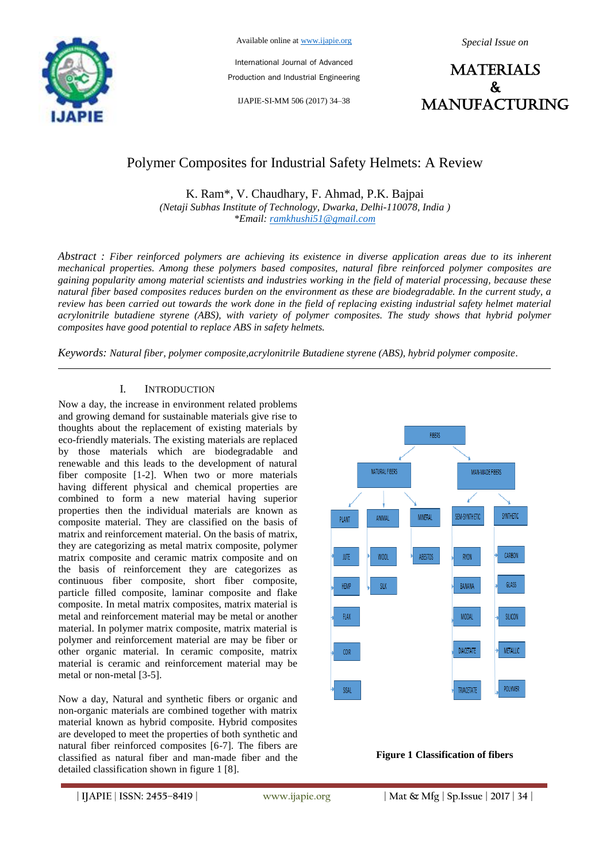

Available online at www.ijapie.org

*Special Issue on*

International Journal of Advanced Production and Industrial Engineering

IJAPIE-SI-MM 506 (2017) 34–38

**MATERIALS**  $\mathbf{k}$ manufacturing

# Polymer Composites for Industrial Safety Helmets: A Review

K. Ram\*, V. Chaudhary, F. Ahmad, P.K. Bajpai *(Netaji Subhas Institute of Technology, Dwarka, Delhi-110078, India ) \*Email: ramkhushi51@gmail.com*

*Abstract : Fiber reinforced polymers are achieving its existence in diverse application areas due to its inherent mechanical properties. Among these polymers based composites, natural fibre reinforced polymer composites are gaining popularity among material scientists and industries working in the field of material processing, because these natural fiber based composites reduces burden on the environment as these are biodegradable. In the current study, a review has been carried out towards the work done in the field of replacing existing industrial safety helmet material acrylonitrile butadiene styrene (ABS), with variety of polymer composites. The study shows that hybrid polymer composites have good potential to replace ABS in safety helmets.*

*Keywords: Natural fiber, polymer composite,acrylonitrile Butadiene styrene (ABS), hybrid polymer composite.*

# I. INTRODUCTION

Now a day, the increase in environment related problems and growing demand for sustainable materials give rise to thoughts about the replacement of existing materials by eco-friendly materials. The existing materials are replaced by those materials which are biodegradable and renewable and this leads to the development of natural fiber composite [1-2]. When two or more materials having different physical and chemical properties are combined to form a new material having superior properties then the individual materials are known as composite material. They are classified on the basis of matrix and reinforcement material. On the basis of matrix, they are categorizing as metal matrix composite, polymer matrix composite and ceramic matrix composite and on the basis of reinforcement they are categorizes as continuous fiber composite, short fiber composite, particle filled composite, laminar composite and flake composite. In metal matrix composites, matrix material is metal and reinforcement material may be metal or another material. In polymer matrix composite, matrix material is polymer and reinforcement material are may be fiber or other organic material. In ceramic composite, matrix material is ceramic and reinforcement material may be metal or non-metal [3-5].

Now a day, Natural and synthetic fibers or organic and non-organic materials are combined together with matrix material known as hybrid composite. Hybrid composites are developed to meet the properties of both synthetic and natural fiber reinforced composites [6-7]. The fibers are classified as natural fiber and man-made fiber and the detailed classification shown in figure 1 [8].



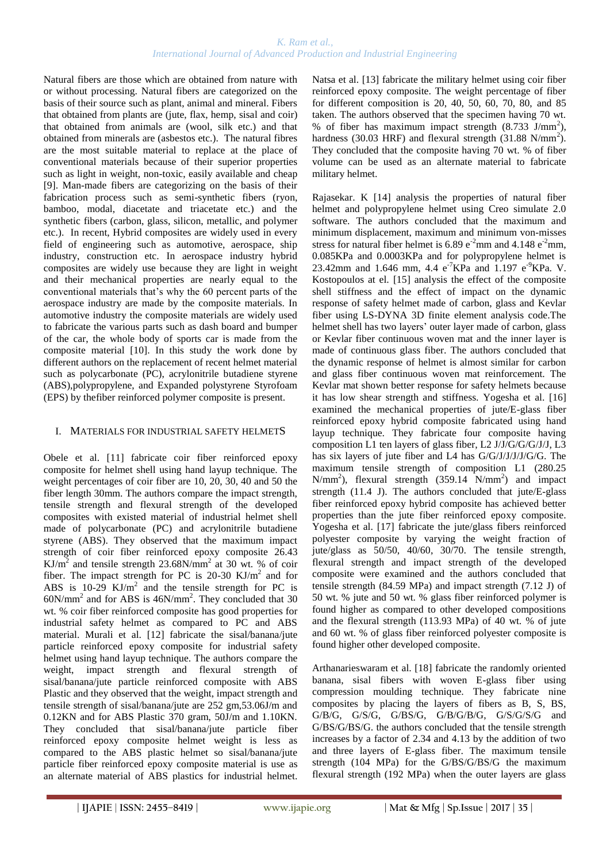### *K. Ram et al., International Journal of Advanced Production and Industrial Engineering*

Natural fibers are those which are obtained from nature with or without processing. Natural fibers are categorized on the basis of their source such as plant, animal and mineral. Fibers that obtained from plants are (jute, flax, hemp, sisal and coir) that obtained from animals are (wool, silk etc.) and that obtained from minerals are (asbestos etc.). The natural fibres are the most suitable material to replace at the place of conventional materials because of their superior properties such as light in weight, non-toxic, easily available and cheap [9]. Man-made fibers are categorizing on the basis of their fabrication process such as semi-synthetic fibers (ryon, bamboo, modal, diacetate and triacetate etc.) and the synthetic fibers (carbon, glass, silicon, metallic, and polymer etc.). In recent, Hybrid composites are widely used in every field of engineering such as automotive, aerospace, ship industry, construction etc. In aerospace industry hybrid composites are widely use because they are light in weight and their mechanical properties are nearly equal to the conventional materials that's why the 60 percent parts of the aerospace industry are made by the composite materials. In automotive industry the composite materials are widely used to fabricate the various parts such as dash board and bumper of the car, the whole body of sports car is made from the composite material [10]. In this study the work done by different authors on the replacement of recent helmet material such as polycarbonate (PC), acrylonitrile butadiene styrene (ABS),polypropylene, and Expanded polystyrene Styrofoam (EPS) by thefiber reinforced polymer composite is present.

## I. MATERIALS FOR INDUSTRIAL SAFETY HELMETS

Obele et al. [11] fabricate coir fiber reinforced epoxy composite for helmet shell using hand layup technique. The weight percentages of coir fiber are 10, 20, 30, 40 and 50 the fiber length 30mm. The authors compare the impact strength, tensile strength and flexural strength of the developed composites with existed material of industrial helmet shell made of polycarbonate (PC) and acrylonitrile butadiene styrene (ABS). They observed that the maximum impact strength of coir fiber reinforced epoxy composite 26.43 KJ/m<sup>2</sup> and tensile strength 23.68N/mm<sup>2</sup> at 30 wt. % of coir fiber. The impact strength for PC is  $20-30$  KJ/m<sup>2</sup> and for ABS is 10-29  $KJ/m^2$  and the tensile strength for PC is  $60N/mm<sup>2</sup>$  and for ABS is  $46N/mm<sup>2</sup>$ . They concluded that 30 wt. % coir fiber reinforced composite has good properties for industrial safety helmet as compared to PC and ABS material. Murali et al. [12] fabricate the sisal/banana/jute particle reinforced epoxy composite for industrial safety helmet using hand layup technique. The authors compare the weight, impact strength and flexural strength of sisal/banana/jute particle reinforced composite with ABS Plastic and they observed that the weight, impact strength and tensile strength of sisal/banana/jute are 252 gm,53.06J/m and 0.12KN and for ABS Plastic 370 gram, 50J/m and 1.10KN. They concluded that sisal/banana/jute particle fiber reinforced epoxy composite helmet weight is less as compared to the ABS plastic helmet so sisal/banana/jute particle fiber reinforced epoxy composite material is use as an alternate material of ABS plastics for industrial helmet.

Natsa et al. [13] fabricate the military helmet using coir fiber reinforced epoxy composite. The weight percentage of fiber for different composition is 20, 40, 50, 60, 70, 80, and 85 taken. The authors observed that the specimen having 70 wt. % of fiber has maximum impact strength  $(8.733 \text{ J/mm}^2)$ , hardness (30.03 HRF) and flexural strength (31.88 N/mm<sup>2</sup>). They concluded that the composite having 70 wt. % of fiber volume can be used as an alternate material to fabricate military helmet.

Rajasekar. K [14] analysis the properties of natural fiber helmet and polypropylene helmet using Creo simulate 2.0 software. The authors concluded that the maximum and minimum displacement, maximum and minimum von-misses stress for natural fiber helmet is 6.89  $e^{-2}$ mm and 4.148  $e^{-2}$ mm, 0.085KPa and 0.0003KPa and for polypropylene helmet is 23.42mm and 1.646 mm, 4.4 e<sup>-7</sup>KPa and 1.197 e<sup>-9</sup>KPa. V. Kostopoulos at el. [15] analysis the effect of the composite shell stiffness and the effect of impact on the dynamic response of safety helmet made of carbon, glass and Kevlar fiber using LS-DYNA 3D finite element analysis code.The helmet shell has two layers' outer layer made of carbon, glass or Kevlar fiber continuous woven mat and the inner layer is made of continuous glass fiber. The authors concluded that the dynamic response of helmet is almost similar for carbon and glass fiber continuous woven mat reinforcement. The Kevlar mat shown better response for safety helmets because it has low shear strength and stiffness. Yogesha et al. [16] examined the mechanical properties of jute/E-glass fiber reinforced epoxy hybrid composite fabricated using hand layup technique. They fabricate four composite having composition L1 ten layers of glass fiber, L2 J/J/G/G/G/J/J, L3 has six layers of jute fiber and L4 has G/G/J/J/J/J/G/G. The maximum tensile strength of composition L1 (280.25  $N/mm<sup>2</sup>$ ), flexural strength (359.14  $N/mm<sup>2</sup>$ ) and impact strength (11.4 J). The authors concluded that jute/E-glass fiber reinforced epoxy hybrid composite has achieved better properties than the jute fiber reinforced epoxy composite. Yogesha et al. [17] fabricate the jute/glass fibers reinforced polyester composite by varying the weight fraction of jute/glass as 50/50, 40/60, 30/70. The tensile strength, flexural strength and impact strength of the developed composite were examined and the authors concluded that tensile strength (84.59 MPa) and impact strength (7.12 J) of 50 wt. % jute and 50 wt. % glass fiber reinforced polymer is found higher as compared to other developed compositions and the flexural strength (113.93 MPa) of 40 wt. % of jute and 60 wt. % of glass fiber reinforced polyester composite is found higher other developed composite.

Arthanarieswaram et al. [18] fabricate the randomly oriented banana, sisal fibers with woven E-glass fiber using compression moulding technique. They fabricate nine composites by placing the layers of fibers as B, S, BS, G/B/G, G/S/G, G/BS/G, G/B/G/B/G, G/S/G/S/G and G/BS/G/BS/G. the authors concluded that the tensile strength increases by a factor of 2.34 and 4.13 by the addition of two and three layers of E-glass fiber. The maximum tensile strength (104 MPa) for the G/BS/G/BS/G the maximum flexural strength (192 MPa) when the outer layers are glass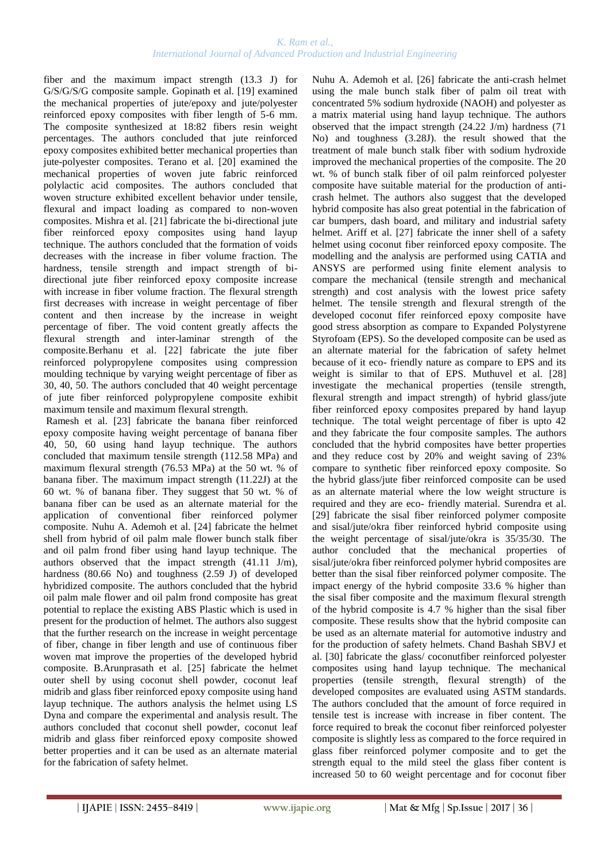fiber and the maximum impact strength (13.3 J) for G/S/G/S/G composite sample. Gopinath et al. [19] examined the mechanical properties of jute/epoxy and jute/polyester reinforced epoxy composites with fiber length of 5-6 mm. The composite synthesized at 18:82 fibers resin weight percentages. The authors concluded that jute reinforced epoxy composites exhibited better mechanical properties than jute-polyester composites. Terano et al. [20] examined the mechanical properties of woven jute fabric reinforced polylactic acid composites. The authors concluded that woven structure exhibited excellent behavior under tensile, flexural and impact loading as compared to non-woven composites. Mishra et al. [21] fabricate the bi-directional jute fiber reinforced epoxy composites using hand layup technique. The authors concluded that the formation of voids decreases with the increase in fiber volume fraction. The hardness, tensile strength and impact strength of bidirectional jute fiber reinforced epoxy composite increase with increase in fiber volume fraction. The flexural strength first decreases with increase in weight percentage of fiber content and then increase by the increase in weight percentage of fiber. The void content greatly affects the flexural strength and inter-laminar strength of the composite.Berhanu et al. [22] fabricate the jute fiber reinforced polypropylene composites using compression moulding technique by varying weight percentage of fiber as 30, 40, 50. The authors concluded that 40 weight percentage of jute fiber reinforced polypropylene composite exhibit maximum tensile and maximum flexural strength.

Ramesh et al. [23] fabricate the banana fiber reinforced epoxy composite having weight percentage of banana fiber 40, 50, 60 using hand layup technique. The authors concluded that maximum tensile strength (112.58 MPa) and maximum flexural strength (76.53 MPa) at the 50 wt. % of banana fiber. The maximum impact strength (11.22J) at the 60 wt. % of banana fiber. They suggest that 50 wt. % of banana fiber can be used as an alternate material for the application of conventional fiber reinforced polymer composite. Nuhu A. Ademoh et al. [24] fabricate the helmet shell from hybrid of oil palm male flower bunch stalk fiber and oil palm frond fiber using hand layup technique. The authors observed that the impact strength (41.11 J/m), hardness (80.66 No) and toughness (2.59 J) of developed hybridized composite. The authors concluded that the hybrid oil palm male flower and oil palm frond composite has great potential to replace the existing ABS Plastic which is used in present for the production of helmet. The authors also suggest that the further research on the increase in weight percentage of fiber, change in fiber length and use of continuous fiber woven mat improve the properties of the developed hybrid composite. B.Arunprasath et al. [25] fabricate the helmet outer shell by using coconut shell powder, coconut leaf midrib and glass fiber reinforced epoxy composite using hand layup technique. The authors analysis the helmet using LS Dyna and compare the experimental and analysis result. The authors concluded that coconut shell powder, coconut leaf midrib and glass fiber reinforced epoxy composite showed better properties and it can be used as an alternate material for the fabrication of safety helmet.

Nuhu A. Ademoh et al. [26] fabricate the anti-crash helmet using the male bunch stalk fiber of palm oil treat with concentrated 5% sodium hydroxide (NAOH) and polyester as a matrix material using hand layup technique. The authors observed that the impact strength (24.22 J/m) hardness (71 No) and toughness (3.28J). the result showed that the treatment of male bunch stalk fiber with sodium hydroxide improved the mechanical properties of the composite. The 20 wt. % of bunch stalk fiber of oil palm reinforced polyester composite have suitable material for the production of anticrash helmet. The authors also suggest that the developed hybrid composite has also great potential in the fabrication of car bumpers, dash board, and military and industrial safety helmet. Ariff et al. [27] fabricate the inner shell of a safety helmet using coconut fiber reinforced epoxy composite. The modelling and the analysis are performed using CATIA and ANSYS are performed using finite element analysis to compare the mechanical (tensile strength and mechanical strength) and cost analysis with the lowest price safety helmet. The tensile strength and flexural strength of the developed coconut fifer reinforced epoxy composite have good stress absorption as compare to Expanded Polystyrene Styrofoam (EPS). So the developed composite can be used as an alternate material for the fabrication of safety helmet because of it eco- friendly nature as compare to EPS and its weight is similar to that of EPS. Muthuvel et al. [28] investigate the mechanical properties (tensile strength, flexural strength and impact strength) of hybrid glass/jute fiber reinforced epoxy composites prepared by hand layup technique. The total weight percentage of fiber is upto 42 and they fabricate the four composite samples. The authors concluded that the hybrid composites have better properties and they reduce cost by 20% and weight saving of 23% compare to synthetic fiber reinforced epoxy composite. So the hybrid glass/jute fiber reinforced composite can be used as an alternate material where the low weight structure is required and they are eco- friendly material. Surendra et al. [29] fabricate the sisal fiber reinforced polymer composite and sisal/jute/okra fiber reinforced hybrid composite using the weight percentage of sisal/jute/okra is 35/35/30. The author concluded that the mechanical properties of sisal/jute/okra fiber reinforced polymer hybrid composites are better than the sisal fiber reinforced polymer composite. The impact energy of the hybrid composite 33.6 % higher than the sisal fiber composite and the maximum flexural strength of the hybrid composite is 4.7 % higher than the sisal fiber composite. These results show that the hybrid composite can be used as an alternate material for automotive industry and for the production of safety helmets. Chand Bashah SBVJ et al. [30] fabricate the glass/ coconutfiber reinforced polyester composites using hand layup technique. The mechanical properties (tensile strength, flexural strength) of the developed composites are evaluated using ASTM standards. The authors concluded that the amount of force required in tensile test is increase with increase in fiber content. The force required to break the coconut fiber reinforced polyester composite is slightly less as compared to the force required in glass fiber reinforced polymer composite and to get the strength equal to the mild steel the glass fiber content is increased 50 to 60 weight percentage and for coconut fiber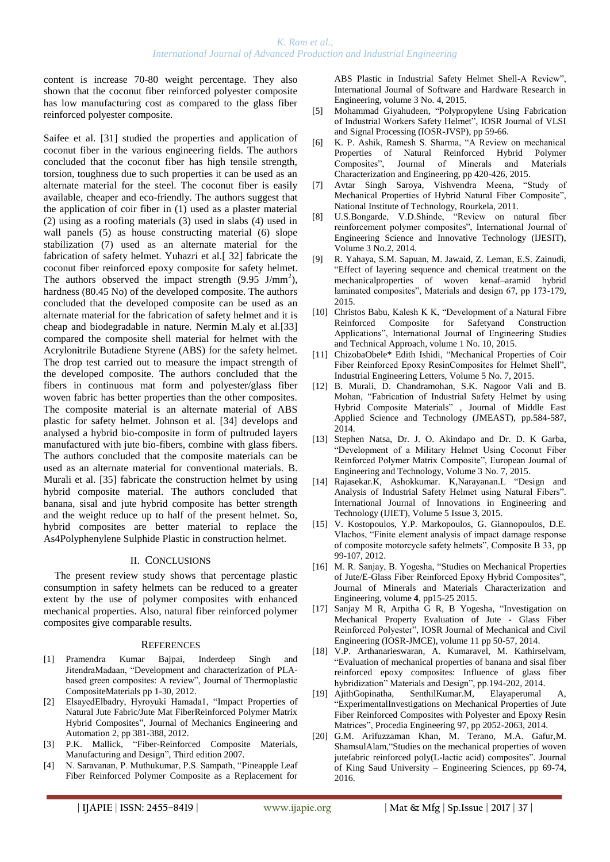content is increase 70-80 weight percentage. They also shown that the coconut fiber reinforced polyester composite has low manufacturing cost as compared to the glass fiber reinforced polyester composite.

Saifee et al. [31] studied the properties and application of coconut fiber in the various engineering fields. The authors concluded that the coconut fiber has high tensile strength, torsion, toughness due to such properties it can be used as an alternate material for the steel. The coconut fiber is easily available, cheaper and eco-friendly. The authors suggest that the application of coir fiber in (1) used as a plaster material (2) using as a roofing materials (3) used in slabs (4) used in wall panels (5) as house constructing material (6) slope stabilization (7) used as an alternate material for the fabrication of safety helmet. Yuhazri et al.[ 32] fabricate the coconut fiber reinforced epoxy composite for safety helmet. The authors observed the impact strength  $(9.95 \text{ J/mm}^2)$ , hardness (80.45 No) of the developed composite. The authors concluded that the developed composite can be used as an alternate material for the fabrication of safety helmet and it is cheap and biodegradable in nature. Nermin M.aly et al.[33] compared the composite shell material for helmet with the Acrylonitrile Butadiene Styrene (ABS) for the safety helmet. The drop test carried out to measure the impact strength of the developed composite. The authors concluded that the fibers in continuous mat form and polyester/glass fiber woven fabric has better properties than the other composites. The composite material is an alternate material of ABS plastic for safety helmet. Johnson et al. [34] develops and analysed a hybrid bio-composite in form of pultruded layers manufactured with jute bio-fibers, combine with glass fibers. The authors concluded that the composite materials can be used as an alternate material for conventional materials. B. Murali et al. [35] fabricate the construction helmet by using hybrid composite material. The authors concluded that banana, sisal and jute hybrid composite has better strength and the weight reduce up to half of the present helmet. So, hybrid composites are better material to replace the As4Polyphenylene Sulphide Plastic in construction helmet.

# II. CONCLUSIONS

The present review study shows that percentage plastic consumption in safety helmets can be reduced to a greater extent by the use of polymer composites with enhanced mechanical properties. Also, natural fiber reinforced polymer composites give comparable results.

### **REFERENCES**

- [1] Pramendra Kumar Bajpai, Inderdeep Singh and JitendraMadaan, "Development and characterization of PLAbased green composites: A review", Journal of Thermoplastic CompositeMaterials pp 1-30, 2012.
- [2] ElsayedElbadry, Hyroyuki Hamada1, "Impact Properties of Natural Jute Fabric/Jute Mat FiberReinforced Polymer Matrix Hybrid Composites", Journal of Mechanics Engineering and Automation 2, pp 381-388, 2012.
- [3] P.K. Mallick, "Fiber-Reinforced Composite Materials, Manufacturing and Design", Third edition 2007.
- [4] N. Saravanan, P. Muthukumar, P.S. Sampath, "Pineapple Leaf Fiber Reinforced Polymer Composite as a Replacement for

ABS Plastic in Industrial Safety Helmet Shell-A Review", International Journal of Software and Hardware Research in Engineering, volume 3 No. 4, 2015.

- [5] Mohammad Giyahudeen, "Polypropylene Using Fabrication of Industrial Workers Safety Helmet", IOSR Journal of VLSI and Signal Processing (IOSR-JVSP), pp 59-66.
- [6] K. P. Ashik, Ramesh S. Sharma, "A Review on mechanical Properties of Natural Reinforced Hybrid Polymer<br>Composites", Journal of Minerals and Materials Minerals and Materials Characterization and Engineering, pp 420-426, 2015.
- [7] Avtar Singh Saroya, Vishvendra Meena, "Study of Mechanical Properties of Hybrid Natural Fiber Composite", National Institute of Technology, Rourkela, 2011.
- [8] U.S.Bongarde, V.D.Shinde, "Review on natural fiber reinforcement polymer composites", International Journal of Engineering Science and Innovative Technology (IJESIT), Volume 3 No.2, 2014.
- [9] R. Yahaya, S.M. Sapuan, M. Jawaid, Z. Leman, E.S. Zainudi, "Effect of layering sequence and chemical treatment on the mechanicalproperties of woven kenaf–aramid hybrid laminated composites", Materials and design 67, pp 173-179, 2015.
- [10] Christos Babu, Kalesh K K, "Development of a Natural Fibre Reinforced Composite for Safetyand Construction Applications", International Journal of Engineering Studies and Technical Approach, volume 1 No. 10, 2015.
- [11] ChizobaObele\* Edith Ishidi, "Mechanical Properties of Coir Fiber Reinforced Epoxy ResinComposites for Helmet Shell", Industrial Engineering Letters, Volume 5 No. 7, 2015.
- [12] B. Murali, D. Chandramohan, S.K. Nagoor Vali and B. Mohan, "Fabrication of Industrial Safety Helmet by using Hybrid Composite Materials" , Journal of Middle East Applied Science and Technology (JMEAST), pp.584-587, 2014.
- [13] Stephen Natsa, Dr. J. O. Akindapo and Dr. D. K Garba, "Development of a Military Helmet Using Coconut Fiber Reinforced Polymer Matrix Composite", European Journal of Engineering and Technology, Volume 3 No. 7, 2015.
- [14] Rajasekar.K, Ashokkumar. K,Narayanan.L "Design and Analysis of Industrial Safety Helmet using Natural Fibers". International Journal of Innovations in Engineering and Technology (IJIET), Volume 5 Issue 3, 2015.
- [15] V. Kostopoulos, Y.P. Markopoulos, G. Giannopoulos, D.E. Vlachos, "Finite element analysis of impact damage response of composite motorcycle safety helmets", Composite B 33, pp 99-107, 2012.
- [16] M. R. Sanjay, B. Yogesha, "Studies on Mechanical Properties of Jute/E-Glass Fiber Reinforced Epoxy Hybrid Composites", Journal of Minerals and Materials Characterization and Engineering, volume **4**, pp15-25 2015.
- [17] Sanjay M R, Arpitha G R, B Yogesha, "Investigation on Mechanical Property Evaluation of Jute - Glass Fiber Reinforced Polyester", IOSR Journal of Mechanical and Civil Engineering (IOSR-JMCE), volume 11 pp 50-57, 2014.
- [18] V.P. Arthanarieswaran, A. Kumaravel, M. Kathirselvam, "Evaluation of mechanical properties of banana and sisal fiber reinforced epoxy composites: Influence of glass fiber hybridization" Materials and Design", pp.194-202, 2014.
- [19] AjithGopinatha, SenthilKumar.M, Elayaperumal A, "ExperimentalInvestigations on Mechanical Properties of Jute Fiber Reinforced Composites with Polyester and Epoxy Resin Matrices", Procedia Engineering 97, pp 2052-2063, 2014.
- [20] G.M. Arifuzzaman Khan, M. Terano, M.A. Gafur,M. ShamsulAlam,"Studies on the mechanical properties of woven jutefabric reinforced poly(L-lactic acid) composites". Journal of King Saud University – Engineering Sciences, pp 69-74, 2016.